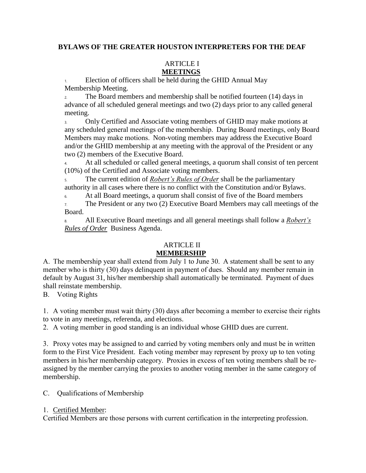#### **BYLAWS OF THE GREATER HOUSTON INTERPRETERS FOR THE DEAF**

#### ARTICLE I **MEETINGS**

1. Election of officers shall be held during the GHID Annual May Membership Meeting.

2. The Board members and membership shall be notified fourteen (14) days in advance of all scheduled general meetings and two (2) days prior to any called general meeting.

3. Only Certified and Associate voting members of GHID may make motions at any scheduled general meetings of the membership.  During Board meetings, only Board Members may make motions.  Non-voting members may address the Executive Board and/or the GHID membership at any meeting with the approval of the President or any two (2) members of the Executive Board.

4. At all scheduled or called general meetings, a quorum shall consist of ten percent (10%) of the Certified and Associate voting members.

5. The current edition of *Robert's Rules of Order* shall be the parliamentary authority in all cases where there is no conflict with the Constitution and/or Bylaws.

6. At all Board meetings, a quorum shall consist of five of the Board members

7. The President or any two (2) Executive Board Members may call meetings of the Board.

8. All Executive Board meetings and all general meetings shall follow a *Robert's Rules of Order* Business Agenda.

# ARTICLE II

## **MEMBERSHIP**

A.  The membership year shall extend from July 1 to June 30.  A statement shall be sent to any member who is thirty (30) days delinquent in payment of dues.  Should any member remain in default by August 31, his/her membership shall automatically be terminated.  Payment of dues shall reinstate membership.

B.     Voting Rights

1.   A voting member must wait thirty (30) days after becoming a member to exercise their rights to vote in any meetings, referenda, and elections.

2.   A voting member in good standing is an individual whose GHID dues are current.

3.   Proxy votes may be assigned to and carried by voting members only and must be in written form to the First Vice President.  Each voting member may represent by proxy up to ten voting members in his/her membership category.  Proxies in excess of ten voting members shall be reassigned by the member carrying the proxies to another voting member in the same category of membership.

C.     Qualifications of Membership

## 1.   Certified Member:

Certified Members are those persons with current certification in the interpreting profession.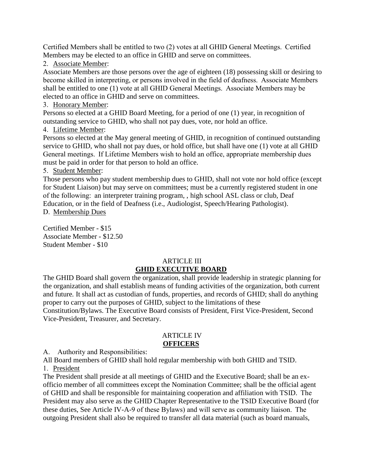Certified Members shall be entitled to two (2) votes at all GHID General Meetings.  Certified Members may be elected to an office in GHID and serve on committees.

2.   Associate Member:

Associate Members are those persons over the age of eighteen (18) possessing skill or desiring to become skilled in interpreting, or persons involved in the field of deafness.  Associate Members shall be entitled to one (1) vote at all GHID General Meetings.  Associate Members may be elected to an office in GHID and serve on committees.

3.   Honorary Member:

Persons so elected at a GHID Board Meeting, for a period of one (1) year, in recognition of outstanding service to GHID, who shall not pay dues, vote, nor hold an office.

4.   Lifetime Member:

Persons so elected at the May general meeting of GHID, in recognition of continued outstanding service to GHID, who shall not pay dues, or hold office, but shall have one (1) vote at all GHID General meetings.  If Lifetime Members wish to hold an office, appropriate membership dues must be paid in order for that person to hold an office.

## 5.   Student Member:

Those persons who pay student membership dues to GHID, shall not vote nor hold office (except for Student Liaison) but may serve on committees; must be a currently registered student in one of the following:  an interpreter training program, , high school ASL class or club, Deaf Education, or in the field of Deafness (i.e., Audiologist, Speech/Hearing Pathologist).

D.  Membership Dues

Certified Member - \$15 Associate Member - \$12.50 Student Member - \$10

#### ARTICLE III **GHID EXECUTIVE BOARD**

The GHID Board shall govern the organization, shall provide leadership in strategic planning for the organization, and shall establish means of funding activities of the organization, both current and future*.* It shall act as custodian of funds, properties, and records of GHID; shall do anything proper to carry out the purposes of GHID, subject to the limitations of these

Constitution/Bylaws. The Executive Board consists of President, First Vice-President, Second Vice-President, Treasurer, and Secretary.

#### ARTICLE IV **OFFICERS**

A.     Authority and Responsibilities:

All Board members of GHID shall hold regular membership with both GHID and TSID.

1.   President

The President shall preside at all meetings of GHID and the Executive Board; shall be an exofficio member of all committees except the Nomination Committee; shall be the official agent of GHID and shall be responsible for maintaining cooperation and affiliation with TSID.  The President may also serve as the GHID Chapter Representative to the TSID Executive Board (for these duties, See Article IV-A-9 of these Bylaws) and will serve as community liaison.  The outgoing President shall also be required to transfer all data material (such as board manuals,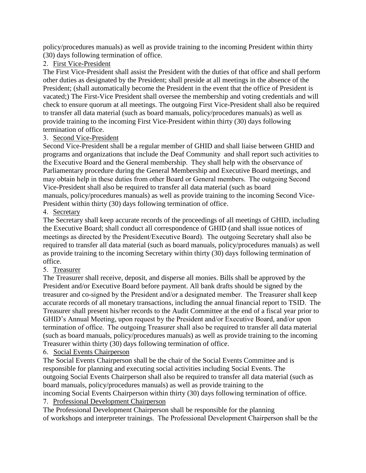policy/procedures manuals) as well as provide training to the incoming President within thirty (30) days following termination of office.

## 2.   First Vice-President

The First Vice-President shall assist the President with the duties of that office and shall perform other duties as designated by the President; shall preside at all meetings in the absence of the President; (shall automatically become the President in the event that the office of President is vacated;) The First-Vice President shall oversee the membership and voting credentials and will check to ensure quorum at all meetings. The outgoing First Vice-President shall also be required to transfer all data material (such as board manuals, policy/procedures manuals) as well as provide training to the incoming First Vice-President within thirty (30) days following termination of office.

## 3.   Second Vice-President

Second Vice-President shall be a regular member of GHID and shall liaise between GHID and programs and organizations that include the Deaf Community and shall report such activities to the Executive Board and the General membership.  They shall help with the observance of Parliamentary procedure during the General Membership and Executive Board meetings, and may obtain help in these duties from other Board or General members.  The outgoing Second Vice-President shall also be required to transfer all data material (such as board manuals, policy/procedures manuals) as well as provide training to the incoming Second Vice-President within thirty (30) days following termination of office.

## 4.   Secretary

The Secretary shall keep accurate records of the proceedings of all meetings of GHID, including the Executive Board; shall conduct all correspondence of GHID (and shall issue notices of meetings as directed by the President/Executive Board).  The outgoing Secretary shall also be required to transfer all data material (such as board manuals, policy/procedures manuals) as well as provide training to the incoming Secretary within thirty (30) days following termination of office.

## 5.   Treasurer

The Treasurer shall receive, deposit, and disperse all monies. Bills shall be approved by the President and/or Executive Board before payment. All bank drafts should be signed by the treasurer and co-signed by the President and/or a designated member.  The Treasurer shall keep accurate records of all monetary transactions, including the annual financial report to TSID.  The Treasurer shall present his/her records to the Audit Committee at the end of a fiscal year prior to GHID's Annual Meeting, upon request by the President and/or Executive Board, and/or upon termination of office.  The outgoing Treasurer shall also be required to transfer all data material (such as board manuals, policy/procedures manuals) as well as provide training to the incoming Treasurer within thirty (30) days following termination of office.

## 6.   Social Events Chairperson

The Social Events Chairperson shall be the chair of the Social Events Committee and is responsible for planning and executing social activities including Social Events. The outgoing Social Events Chairperson shall also be required to transfer all data material (such as board manuals, policy/procedures manuals) as well as provide training to the incoming Social Events Chairperson within thirty (30) days following termination of office.

## 7.   Professional Development Chairperson

The Professional Development Chairperson shall be responsible for the planning of workshops and interpreter trainings.  The Professional Development Chairperson shall be the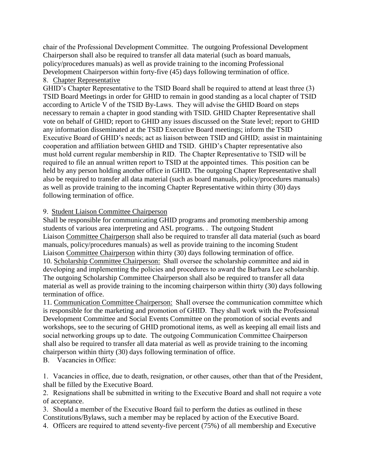chair of the Professional Development Committee.  The outgoing Professional Development Chairperson shall also be required to transfer all data material (such as board manuals, policy/procedures manuals) as well as provide training to the incoming Professional Development Chairperson within forty-five (45) days following termination of office. 8.   Chapter Representative

GHID's Chapter Representative to the TSID Board shall be required to attend at least three (3) TSID Board Meetings in order for GHID to remain in good standing as a local chapter of TSID according to Article V of the TSID By-Laws.  They will advise the GHID Board on steps necessary to remain a chapter in good standing with TSID. GHID Chapter Representative shall vote on behalf of GHID; report to GHID any issues discussed on the State level; report to GHID any information disseminated at the TSID Executive Board meetings; inform the TSID Executive Board of GHID's needs; act as liaison between TSID and GHID;  assist in maintaining cooperation and affiliation between GHID and TSID.  GHID's Chapter representative also must hold current regular membership in RID.  The Chapter Representative to TSID will be required to file an annual written report to TSID at the appointed times.  This position can be held by any person holding another office in GHID. The outgoing Chapter Representative shall also be required to transfer all data material (such as board manuals, policy/procedures manuals) as well as provide training to the incoming Chapter Representative within thirty (30) days following termination of office.

#### 9.  Student Liaison Committee Chairperson

Shall be responsible for communicating GHID programs and promoting membership among students of various area interpreting and ASL programs. .  The outgoing Student Liaison Committee Chairperson shall also be required to transfer all data material (such as board manuals, policy/procedures manuals) as well as provide training to the incoming Student Liaison Committee Chairperson within thirty (30) days following termination of office. 10. Scholarship Committee Chairperson:  Shall oversee the scholarship committee and aid in developing and implementing the policies and procedures to award the Barbara Lee scholarship.  The outgoing Scholarship Committee Chairperson shall also be required to transfer all data material as well as provide training to the incoming chairperson within thirty (30) days following termination of office.

11. Communication Committee Chairperson:  Shall oversee the communication committee which is responsible for the marketing and promotion of GHID.  They shall work with the Professional Development Committee and Social Events Committee on the promotion of social events and workshops, see to the securing of GHID promotional items, as well as keeping all email lists and social networking groups up to date.  The outgoing Communication Committee Chairperson shall also be required to transfer all data material as well as provide training to the incoming chairperson within thirty (30) days following termination of office.

B.     Vacancies in Office:

1.   Vacancies in office, due to death, resignation, or other causes, other than that of the President, shall be filled by the Executive Board.

2.   Resignations shall be submitted in writing to the Executive Board and shall not require a vote of acceptance.

3.   Should a member of the Executive Board fail to perform the duties as outlined in these Constitutions/Bylaws, such a member may be replaced by action of the Executive Board.

4.   Officers are required to attend seventy-five percent (75%) of all membership and Executive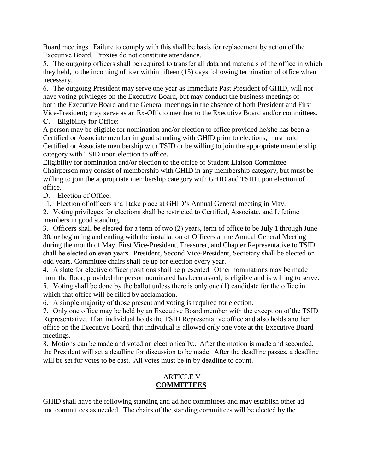Board meetings.  Failure to comply with this shall be basis for replacement by action of the Executive Board.  Proxies do not constitute attendance.

5.   The outgoing officers shall be required to transfer all data and materials of the office in which they held, to the incoming officer within fifteen (15) days following termination of office when necessary.

6.   The outgoing President may serve one year as Immediate Past President of GHID, will not have voting privileges on the Executive Board, but may conduct the business meetings of both the Executive Board and the General meetings in the absence of both President and First Vice-President; may serve as an Ex-Officio member to the Executive Board and/or committees.

**C.** Eligibility for Office:

A person may be eligible for nomination and/or election to office provided he/she has been a Certified or Associate member in good standing with GHID prior to elections; must hold Certified or Associate membership with TSID or be willing to join the appropriate membership category with TSID upon election to office.

Eligibility for nomination and/or election to the office of Student Liaison Committee Chairperson may consist of membership with GHID in any membership category, but must be willing to join the appropriate membership category with GHID and TSID upon election of office.

D. Election of Office:

1.   Election of officers shall take place at GHID's Annual General meeting in May.

2.   Voting privileges for elections shall be restricted to Certified, Associate, and Lifetime members in good standing.

3.   Officers shall be elected for a term of two (2) years, term of office to be July 1 through June 30, or beginning and ending with the installation of Officers at the Annual General Meeting during the month of May. First Vice-President, Treasurer, and Chapter Representative to TSID shall be elected on even years.  President, Second Vice-President, Secretary shall be elected on odd years. Committee chairs shall be up for election every year.

4.   A slate for elective officer positions shall be presented.  Other nominations may be made from the floor, provided the person nominated has been asked, is eligible and is willing to serve.

5.   Voting shall be done by the ballot unless there is only one (1) candidate for the office in which that office will be filled by acclamation.

6.   A simple majority of those present and voting is required for election.

7.   Only one office may be held by an Executive Board member with the exception of the TSID Representative.  If an individual holds the TSID Representative office and also holds another office on the Executive Board, that individual is allowed only one vote at the Executive Board meetings.

8.  Motions can be made and voted on electronically..  After the motion is made and seconded, the President will set a deadline for discussion to be made.  After the deadline passes, a deadline will be set for votes to be cast.  All votes must be in by deadline to count.

## ARTICLE V **COMMITTEES**

GHID shall have the following standing and ad hoc committees and may establish other ad hoc committees as needed.  The chairs of the standing committees will be elected by the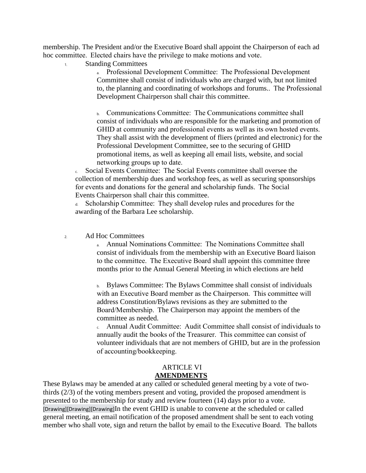membership. The President and/or the Executive Board shall appoint the Chairperson of each ad hoc committee.  Elected chairs have the privilege to make motions and vote.

1. Standing Committees

a. Professional Development Committee:  The Professional Development Committee shall consist of individuals who are charged with, but not limited to, the planning and coordinating of workshops and forums..  The Professional Development Chairperson shall chair this committee.

b. Communications Committee:  The Communications committee shall consist of individuals who are responsible for the marketing and promotion of GHID at community and professional events as well as its own hosted events.  They shall assist with the development of fliers (printed and electronic) for the Professional Development Committee, see to the securing of GHID promotional items, as well as keeping all email lists, website, and social networking groups up to date. 

c. Social Events Committee:  The Social Events committee shall oversee the collection of membership dues and workshop fees, as well as securing sponsorships for events and donations for the general and scholarship funds.  The Social Events Chairperson shall chair this committee.

d. Scholarship Committee:  They shall develop rules and procedures for the awarding of the Barbara Lee scholarship.

2. Ad Hoc Committees

a. Annual Nominations Committee:  The Nominations Committee shall consist of individuals from the membership with an Executive Board liaison to the committee.  The Executive Board shall appoint this committee three months prior to the Annual General Meeting in which elections are held

b. Bylaws Committee: The Bylaws Committee shall consist of individuals with an Executive Board member as the Chairperson.  This committee will address Constitution/Bylaws revisions as they are submitted to the Board/Membership.  The Chairperson may appoint the members of the committee as needed.

c. Annual Audit Committee:  Audit Committee shall consist of individuals to annually audit the books of the Treasurer.  This committee can consist of volunteer individuals that are not members of GHID, but are in the profession of accounting/bookkeeping. 

#### ARTICLE VI **AMENDMENTS**

These Bylaws may be amended at any called or scheduled general meeting by a vote of twothirds (2/3) of the voting members present and voting, provided the proposed amendment is presented to the membership for study and review fourteen (14) days prior to a vote. [Drawing][Drawing][Drawing]In the event GHID is unable to convene at the scheduled or called general meeting, an email notification of the proposed amendment shall be sent to each voting member who shall vote, sign and return the ballot by email to the Executive Board.  The ballots